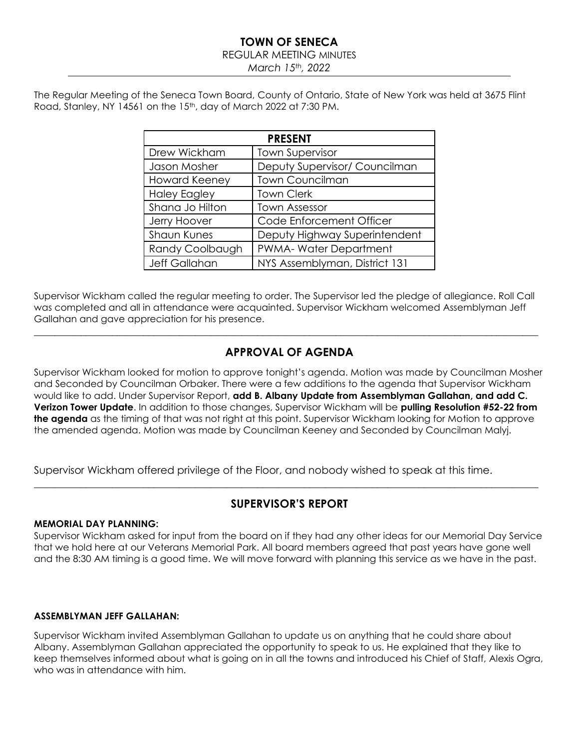REGULAR MEETING MINUTES

*March 15th, 2022*

The Regular Meeting of the Seneca Town Board, County of Ontario, State of New York was held at 3675 Flint Road, Stanley, NY 14561 on the 15<sup>th</sup>, day of March 2022 at 7:30 PM.

| <b>PRESENT</b>       |                               |  |  |  |  |  |
|----------------------|-------------------------------|--|--|--|--|--|
| Drew Wickham         | <b>Town Supervisor</b>        |  |  |  |  |  |
| Jason Mosher         | Deputy Supervisor/ Councilman |  |  |  |  |  |
| <b>Howard Keeney</b> | <b>Town Councilman</b>        |  |  |  |  |  |
| <b>Haley Eagley</b>  | <b>Town Clerk</b>             |  |  |  |  |  |
| Shana Jo Hilton      | <b>Town Assessor</b>          |  |  |  |  |  |
| Jerry Hoover         | Code Enforcement Officer      |  |  |  |  |  |
| <b>Shaun Kunes</b>   | Deputy Highway Superintendent |  |  |  |  |  |
| Randy Coolbaugh      | PWMA-WaterDepartment          |  |  |  |  |  |
| Jeff Gallahan        | NYS Assemblyman, District 131 |  |  |  |  |  |

Supervisor Wickham called the regular meeting to order. The Supervisor led the pledge of allegiance. Roll Call was completed and all in attendance were acquainted. Supervisor Wickham welcomed Assemblyman Jeff Gallahan and gave appreciation for his presence.

 $\_$  ,  $\_$  ,  $\_$  ,  $\_$  ,  $\_$  ,  $\_$  ,  $\_$  ,  $\_$  ,  $\_$  ,  $\_$  ,  $\_$  ,  $\_$  ,  $\_$  ,  $\_$  ,  $\_$  ,  $\_$  ,  $\_$  ,  $\_$  ,  $\_$  ,  $\_$  ,  $\_$  ,  $\_$  ,  $\_$  ,  $\_$  ,  $\_$  ,  $\_$  ,  $\_$  ,  $\_$  ,  $\_$  ,  $\_$  ,  $\_$  ,  $\_$  ,  $\_$  ,  $\_$  ,  $\_$  ,  $\_$  ,  $\_$  ,

# **APPROVAL OF AGENDA**

Supervisor Wickham looked for motion to approve tonight's agenda. Motion was made by Councilman Mosher and Seconded by Councilman Orbaker. There were a few additions to the agenda that Supervisor Wickham would like to add. Under Supervisor Report, **add B. Albany Update from Assemblyman Gallahan, and add C. Verizon Tower Update**. In addition to those changes, Supervisor Wickham will be **pulling Resolution #52-22 from the agenda** as the timing of that was not right at this point. Supervisor Wickham looking for Motion to approve the amended agenda. Motion was made by Councilman Keeney and Seconded by Councilman Malyj.

Supervisor Wickham offered privilege of the Floor, and nobody wished to speak at this time.

## **SUPERVISOR'S REPORT**

 $\_$  , and the set of the set of the set of the set of the set of the set of the set of the set of the set of the set of the set of the set of the set of the set of the set of the set of the set of the set of the set of th

### **MEMORIAL DAY PLANNING:**

Supervisor Wickham asked for input from the board on if they had any other ideas for our Memorial Day Service that we hold here at our Veterans Memorial Park. All board members agreed that past years have gone well and the 8:30 AM timing is a good time. We will move forward with planning this service as we have in the past.

### **ASSEMBLYMAN JEFF GALLAHAN:**

Supervisor Wickham invited Assemblyman Gallahan to update us on anything that he could share about Albany. Assemblyman Gallahan appreciated the opportunity to speak to us. He explained that they like to keep themselves informed about what is going on in all the towns and introduced his Chief of Staff, Alexis Ogra, who was in attendance with him.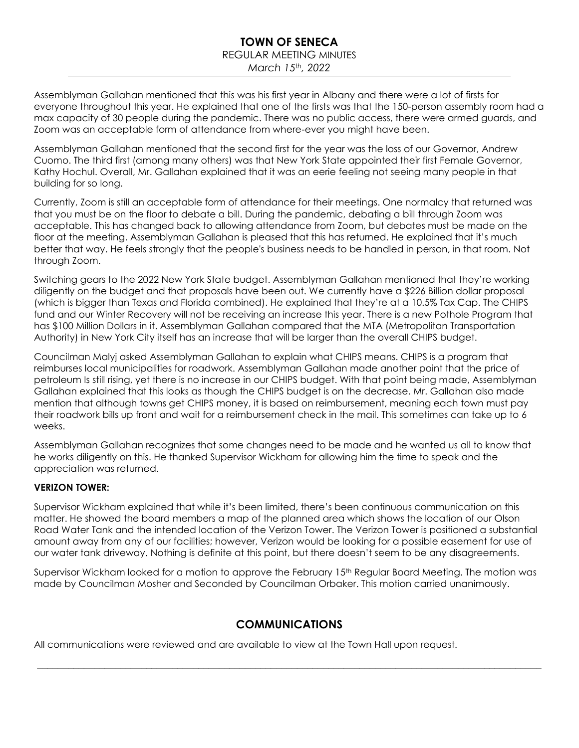REGULAR MEETING MINUTES

*March 15th, 2022*

Assemblyman Gallahan mentioned that this was his first year in Albany and there were a lot of firsts for everyone throughout this year. He explained that one of the firsts was that the 150-person assembly room had a max capacity of 30 people during the pandemic. There was no public access, there were armed guards, and Zoom was an acceptable form of attendance from where-ever you might have been.

Assemblyman Gallahan mentioned that the second first for the year was the loss of our Governor, Andrew Cuomo. The third first (among many others) was that New York State appointed their first Female Governor, Kathy Hochul. Overall, Mr. Gallahan explained that it was an eerie feeling not seeing many people in that building for so long.

Currently, Zoom is still an acceptable form of attendance for their meetings. One normalcy that returned was that you must be on the floor to debate a bill. During the pandemic, debating a bill through Zoom was acceptable. This has changed back to allowing attendance from Zoom, but debates must be made on the floor at the meeting. Assemblyman Gallahan is pleased that this has returned. He explained that it's much better that way. He feels strongly that the people's business needs to be handled in person, in that room. Not through Zoom.

Switching gears to the 2022 New York State budget. Assemblyman Gallahan mentioned that they're working diligently on the budget and that proposals have been out. We currently have a \$226 Billion dollar proposal (which is bigger than Texas and Florida combined). He explained that they're at a 10.5% Tax Cap. The CHIPS fund and our Winter Recovery will not be receiving an increase this year. There is a new Pothole Program that has \$100 Million Dollars in it. Assemblyman Gallahan compared that the MTA (Metropolitan Transportation Authority) in New York City itself has an increase that will be larger than the overall CHIPS budget.

Councilman Malyj asked Assemblyman Gallahan to explain what CHIPS means. CHIPS is a program that reimburses local municipalities for roadwork. Assemblyman Gallahan made another point that the price of petroleum Is still rising, yet there is no increase in our CHIPS budget. With that point being made, Assemblyman Gallahan explained that this looks as though the CHIPS budget is on the decrease. Mr. Gallahan also made mention that although towns get CHIPS money, it is based on reimbursement, meaning each town must pay their roadwork bills up front and wait for a reimbursement check in the mail. This sometimes can take up to 6 weeks.

Assemblyman Gallahan recognizes that some changes need to be made and he wanted us all to know that he works diligently on this. He thanked Supervisor Wickham for allowing him the time to speak and the appreciation was returned.

#### **VERIZON TOWER:**

Supervisor Wickham explained that while it's been limited, there's been continuous communication on this matter. He showed the board members a map of the planned area which shows the location of our Olson Road Water Tank and the intended location of the Verizon Tower. The Verizon Tower is positioned a substantial amount away from any of our facilities; however, Verizon would be looking for a possible easement for use of our water tank driveway. Nothing is definite at this point, but there doesn't seem to be any disagreements.

Supervisor Wickham looked for a motion to approve the February 15<sup>th</sup> Regular Board Meeting. The motion was made by Councilman Mosher and Seconded by Councilman Orbaker. This motion carried unanimously.

## **COMMUNICATIONS**

 $\_$  ,  $\_$  ,  $\_$  ,  $\_$  ,  $\_$  ,  $\_$  ,  $\_$  ,  $\_$  ,  $\_$  ,  $\_$  ,  $\_$  ,  $\_$  ,  $\_$  ,  $\_$  ,  $\_$  ,  $\_$  ,  $\_$  ,  $\_$  ,  $\_$  ,  $\_$  ,  $\_$  ,  $\_$  ,  $\_$  ,  $\_$  ,  $\_$  ,  $\_$  ,  $\_$  ,  $\_$  ,  $\_$  ,  $\_$  ,  $\_$  ,  $\_$  ,  $\_$  ,  $\_$  ,  $\_$  ,  $\_$  ,  $\_$  ,

All communications were reviewed and are available to view at the Town Hall upon request.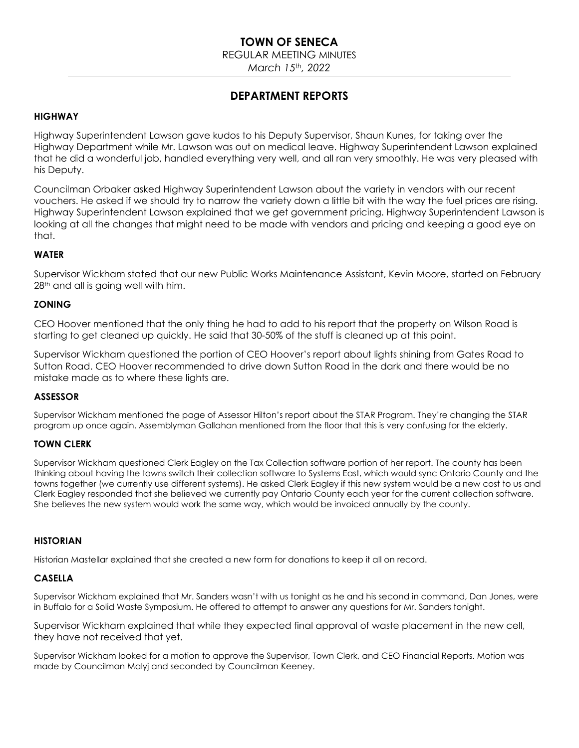REGULAR MEETING MINUTES

*March 15th, 2022*

### **DEPARTMENT REPORTS**

#### **HIGHWAY**

Highway Superintendent Lawson gave kudos to his Deputy Supervisor, Shaun Kunes, for taking over the Highway Department while Mr. Lawson was out on medical leave. Highway Superintendent Lawson explained that he did a wonderful job, handled everything very well, and all ran very smoothly. He was very pleased with his Deputy.

Councilman Orbaker asked Highway Superintendent Lawson about the variety in vendors with our recent vouchers. He asked if we should try to narrow the variety down a little bit with the way the fuel prices are rising. Highway Superintendent Lawson explained that we get government pricing. Highway Superintendent Lawson is looking at all the changes that might need to be made with vendors and pricing and keeping a good eye on that.

#### **WATER**

Supervisor Wickham stated that our new Public Works Maintenance Assistant, Kevin Moore, started on February 28<sup>th</sup> and all is going well with him.

#### **ZONING**

CEO Hoover mentioned that the only thing he had to add to his report that the property on Wilson Road is starting to get cleaned up quickly. He said that 30-50% of the stuff is cleaned up at this point.

Supervisor Wickham questioned the portion of CEO Hoover's report about lights shining from Gates Road to Sutton Road. CEO Hoover recommended to drive down Sutton Road in the dark and there would be no mistake made as to where these lights are.

#### **ASSESSOR**

Supervisor Wickham mentioned the page of Assessor Hilton's report about the STAR Program. They're changing the STAR program up once again. Assemblyman Gallahan mentioned from the floor that this is very confusing for the elderly.

#### **TOWN CLERK**

Supervisor Wickham questioned Clerk Eagley on the Tax Collection software portion of her report. The county has been thinking about having the towns switch their collection software to Systems East, which would sync Ontario County and the towns together (we currently use different systems). He asked Clerk Eagley if this new system would be a new cost to us and Clerk Eagley responded that she believed we currently pay Ontario County each year for the current collection software. She believes the new system would work the same way, which would be invoiced annually by the county.

#### **HISTORIAN**

Historian Mastellar explained that she created a new form for donations to keep it all on record.

#### **CASELLA**

Supervisor Wickham explained that Mr. Sanders wasn't with us tonight as he and his second in command, Dan Jones, were in Buffalo for a Solid Waste Symposium. He offered to attempt to answer any questions for Mr. Sanders tonight.

Supervisor Wickham explained that while they expected final approval of waste placement in the new cell, they have not received that yet.

Supervisor Wickham looked for a motion to approve the Supervisor, Town Clerk, and CEO Financial Reports. Motion was made by Councilman Malyj and seconded by Councilman Keeney.